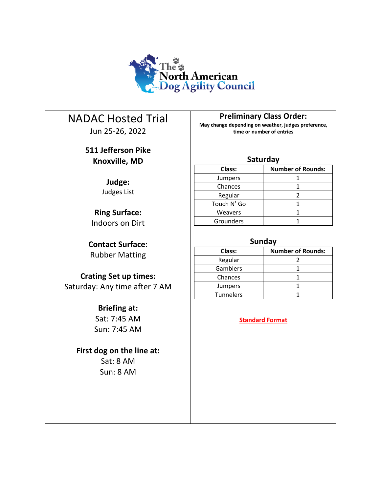

# NADAC Hosted Trial

Jun 25-26, 2022

## **511 Jefferson Pike Knoxville, MD**

**Judge:** Judges List

**Ring Surface:** Indoors on Dirt

**Contact Surface:** Rubber Matting

### **Crating Set up times:** Saturday: Any time after 7 AM

## **Briefing at:**

Sat: 7:45 AM Sun: 7:45 AM

## **First dog on the line at:**

Sat: 8 AM Sun: 8 AM **Preliminary Class Order:**

**May change depending on weather, judges preference, time or number of entries**

### **Saturday**

| Class:      | <b>Number of Rounds:</b> |  |  |
|-------------|--------------------------|--|--|
| Jumpers     |                          |  |  |
| Chances     |                          |  |  |
| Regular     |                          |  |  |
| Touch N' Go |                          |  |  |
| Weavers     |                          |  |  |
| Grounders   |                          |  |  |

### **Sunday**

| Class:         | <b>Number of Rounds:</b> |  |  |  |
|----------------|--------------------------|--|--|--|
| Regular        |                          |  |  |  |
| Gamblers       |                          |  |  |  |
| Chances        |                          |  |  |  |
| <b>Jumpers</b> |                          |  |  |  |
| Tunnelers      |                          |  |  |  |

### **Standard Format**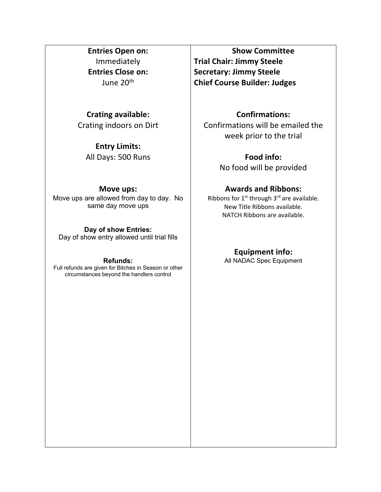### **Entries Open on:** Immediately **Entries Close on:** June 20th

### **Crating available:**

Crating indoors on Dirt

### **Entry Limits:** All Days: 500 Runs

#### **Move ups:**

Move ups are allowed from day to day. No same day move ups

#### **Day of show Entries:**

Day of show entry allowed until trial fills

#### **Refunds:**

Full refunds are given for Bitches in Season or other circumstances beyond the handlers control

**Show Committee Trial Chair: Jimmy Steele Secretary: Jimmy Steele Chief Course Builder: Judges**

### **Confirmations:**

Confirmations will be emailed the week prior to the trial

> **Food info:** No food will be provided

### **Awards and Ribbons:**

Ribbons for  $1^{st}$  through  $3^{rd}$  are available. New Title Ribbons available. NATCH Ribbons are available.

### **Equipment info:**

All NADAC Spec Equipment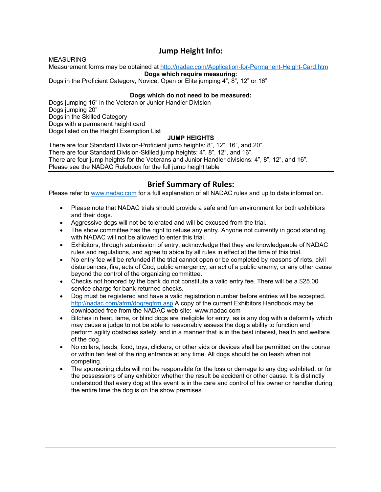### **Jump Height Info:**

#### MEASURING

Measurement forms may be obtained at http://nadac.com/Application-for-Permanent-Height-Card.htm

**Dogs which require measuring:**

Dogs in the Proficient Category, Novice, Open or Elite jumping 4", 8", 12" or 16"

#### **Dogs which do not need to be measured:**

Dogs jumping 16" in the Veteran or Junior Handler Division Dogs jumping 20" Dogs in the Skilled Category Dogs with a permanent height card Dogs listed on the Height Exemption List

#### **JUMP HEIGHTS**

There are four Standard Division-Proficient jump heights: 8", 12", 16", and 20". There are four Standard Division-Skilled jump heights: 4", 8", 12", and 16". There are four jump heights for the Veterans and Junior Handler divisions: 4", 8", 12", and 16". Please see the NADAC Rulebook for the full jump height table

### **Brief Summary of Rules:**

Please refer to www.nadac.com for a full explanation of all NADAC rules and up to date information.

- Please note that NADAC trials should provide a safe and fun environment for both exhibitors and their dogs.
- Aggressive dogs will not be tolerated and will be excused from the trial.
- The show committee has the right to refuse any entry. Anyone not currently in good standing with NADAC will not be allowed to enter this trial.
- Exhibitors, through submission of entry, acknowledge that they are knowledgeable of NADAC rules and regulations, and agree to abide by all rules in effect at the time of this trial.
- No entry fee will be refunded if the trial cannot open or be completed by reasons of riots, civil disturbances, fire, acts of God, public emergency, an act of a public enemy, or any other cause beyond the control of the organizing committee.
- Checks not honored by the bank do not constitute a valid entry fee. There will be a \$25.00 service charge for bank returned checks.
- Dog must be registered and have a valid registration number before entries will be accepted. http://nadac.com/afrm/dogregfrm.asp A copy of the current Exhibitors Handbook may be downloaded free from the NADAC web site: www.nadac.com
- Bitches in heat, lame, or blind dogs are ineligible for entry, as is any dog with a deformity which may cause a judge to not be able to reasonably assess the dog's ability to function and perform agility obstacles safely, and in a manner that is in the best interest, health and welfare of the dog.
- No collars, leads, food, toys, clickers, or other aids or devices shall be permitted on the course or within ten feet of the ring entrance at any time. All dogs should be on leash when not competing.
- The sponsoring clubs will not be responsible for the loss or damage to any dog exhibited, or for the possessions of any exhibitor whether the result be accident or other cause. It is distinctly understood that every dog at this event is in the care and control of his owner or handler during the entire time the dog is on the show premises.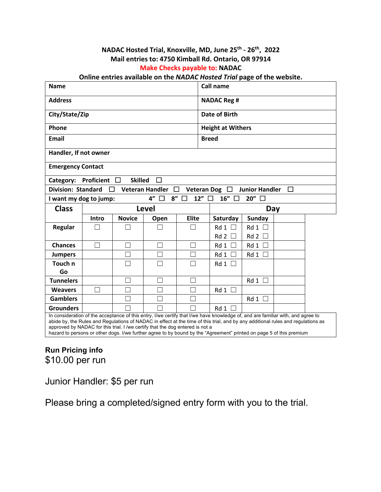### **NADAC Hosted Trial, Knoxville, MD, June 25th - 26th, 2022 Mail entries to: 4750 Kimball Rd. Ontario, OR 97914 Make Checks payable to: NADAC**

#### **Online entries available on the** *NADAC Hosted Trial* **page of the website.**

| <b>Name</b>                                               |       |               | <b>Call name</b>            |                          |                                                                                                                                         |                       |   |  |  |  |
|-----------------------------------------------------------|-------|---------------|-----------------------------|--------------------------|-----------------------------------------------------------------------------------------------------------------------------------------|-----------------------|---|--|--|--|
| <b>Address</b>                                            |       |               |                             |                          | <b>NADAC Reg #</b>                                                                                                                      |                       |   |  |  |  |
| City/State/Zip                                            |       |               | Date of Birth               |                          |                                                                                                                                         |                       |   |  |  |  |
| Phone                                                     |       |               |                             | <b>Height at Withers</b> |                                                                                                                                         |                       |   |  |  |  |
| <b>Email</b>                                              |       |               |                             | <b>Breed</b>             |                                                                                                                                         |                       |   |  |  |  |
| Handler, If not owner                                     |       |               |                             |                          |                                                                                                                                         |                       |   |  |  |  |
| <b>Emergency Contact</b>                                  |       |               |                             |                          |                                                                                                                                         |                       |   |  |  |  |
| <b>Skilled</b><br>П<br>Proficient<br>Category:<br>$\perp$ |       |               |                             |                          |                                                                                                                                         |                       |   |  |  |  |
| <b>Division: Standard</b>                                 |       |               | <b>Veteran Handler</b><br>П |                          | <b>Veteran Dog</b><br>$\Box$                                                                                                            | <b>Junior Handler</b> | П |  |  |  |
| I want my dog to jump:                                    |       |               | 4"<br>8"<br>П               | 12″ □<br>$\Box$          | $16''$ $\Box$                                                                                                                           | 20" □                 |   |  |  |  |
| <b>Class</b>                                              |       |               | Level                       |                          | Day                                                                                                                                     |                       |   |  |  |  |
|                                                           | Intro | <b>Novice</b> | Open                        | <b>Elite</b>             | Saturday                                                                                                                                | Sunday                |   |  |  |  |
| Regular                                                   |       |               |                             | $\mathbf{L}$             | $Rd1$ $\Box$                                                                                                                            | Rd1                   |   |  |  |  |
|                                                           |       |               |                             |                          | Rd2                                                                                                                                     | $Rd2 \Box$            |   |  |  |  |
| <b>Chances</b>                                            | ┐     |               |                             |                          |                                                                                                                                         |                       |   |  |  |  |
|                                                           |       |               |                             | П                        | Rd 1                                                                                                                                    | Rd 1                  |   |  |  |  |
| <b>Jumpers</b>                                            |       | П             | П                           | П                        | Rd 1                                                                                                                                    | Rd1                   |   |  |  |  |
| Touch n                                                   |       |               |                             | П                        | Rd1                                                                                                                                     |                       |   |  |  |  |
| Go                                                        |       |               |                             |                          |                                                                                                                                         |                       |   |  |  |  |
| <b>Tunnelers</b>                                          |       |               | П                           | П                        |                                                                                                                                         | Rd1                   |   |  |  |  |
| <b>Weavers</b>                                            | - 1   |               | $\mathcal{L}_{\mathcal{A}}$ | n.                       | Rd1                                                                                                                                     |                       |   |  |  |  |
| <b>Gamblers</b>                                           |       |               |                             |                          |                                                                                                                                         | Rd1                   |   |  |  |  |
| <b>Grounders</b>                                          |       |               |                             |                          | Rd 1<br>In consideration of the acceptance of this entry, I/we certify that I/we have knowledge of, and are familiar with, and agree to |                       |   |  |  |  |

## **Run Pricing info** \$10.00 per run

Junior Handler: \$5 per run

Please bring a completed/signed entry form with you to the trial.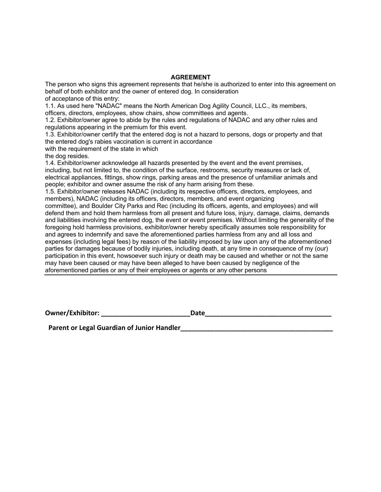#### **AGREEMENT**

The person who signs this agreement represents that he/she is authorized to enter into this agreement on behalf of both exhibitor and the owner of entered dog. In consideration

of acceptance of this entry:

1.1. As used here "NADAC" means the North American Dog Agility Council, LLC., its members, officers, directors, employees, show chairs, show committees and agents.

1.2. Exhibitor/owner agree to abide by the rules and regulations of NADAC and any other rules and regulations appearing in the premium for this event.

1.3. Exhibitor/owner certify that the entered dog is not a hazard to persons, dogs or property and that the entered dog's rabies vaccination is current in accordance

with the requirement of the state in which

the dog resides.

1.4. Exhibitor/owner acknowledge all hazards presented by the event and the event premises, including, but not limited to, the condition of the surface, restrooms, security measures or lack of, electrical appliances, fittings, show rings, parking areas and the presence of unfamiliar animals and people; exhibitor and owner assume the risk of any harm arising from these.

1.5. Exhibitor/owner releases NADAC (including its respective officers, directors, employees, and members), NADAC (including its officers, directors, members, and event organizing

committee), and Boulder City Parks and Rec (including its officers, agents, and employees) and will defend them and hold them harmless from all present and future loss, injury, damage, claims, demands and liabilities involving the entered dog, the event or event premises. Without limiting the generality of the foregoing hold harmless provisions, exhibitor/owner hereby specifically assumes sole responsibility for and agrees to indemnify and save the aforementioned parties harmless from any and all loss and expenses (including legal fees) by reason of the liability imposed by law upon any of the aforementioned parties for damages because of bodily injuries, including death, at any time in consequence of my (our) participation in this event, howsoever such injury or death may be caused and whether or not the same may have been caused or may have been alleged to have been caused by negligence of the aforementioned parties or any of their employees or agents or any other persons

**Owner/Exhibitor: \_\_\_\_\_\_\_\_\_\_\_\_\_\_\_\_\_\_\_\_\_\_\_\_Date\_\_\_\_\_\_\_\_\_\_\_\_\_\_\_\_\_\_\_\_\_\_\_\_\_\_\_\_\_\_\_\_\_\_**

Parent or Legal Guardian of Junior Handler